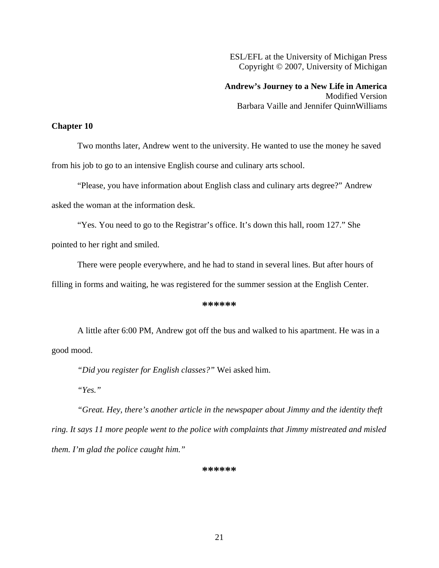ESL/EFL at the University of Michigan Press Copyright © 2007, University of Michigan

**Andrew's Journey to a New Life in America**  Modified Version Barbara Vaille and Jennifer QuinnWilliams

## **Chapter 10**

Two months later, Andrew went to the university. He wanted to use the money he saved from his job to go to an intensive English course and culinary arts school.

"Please, you have information about English class and culinary arts degree?" Andrew asked the woman at the information desk.

"Yes. You need to go to the Registrar's office. It's down this hall, room 127." She pointed to her right and smiled.

There were people everywhere, and he had to stand in several lines. But after hours of

filling in forms and waiting, he was registered for the summer session at the English Center.

## **\*\*\*\*\*\***

A little after 6:00 PM, Andrew got off the bus and walked to his apartment. He was in a good mood.

*"Did you register for English classes?"* Wei asked him.

*"Yes."* 

*"Great. Hey, there's another article in the newspaper about Jimmy and the identity theft ring. It says 11 more people went to the police with complaints that Jimmy mistreated and misled them. I'm glad the police caught him."*

## **\*\*\*\*\*\***